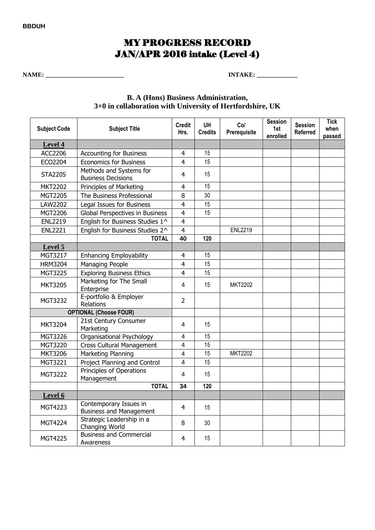## **BBDUH**

# MY PROGRESS RECORD JAN/APR 2016 intake (Level 4)

**NAME: \_\_\_\_\_\_\_\_\_\_\_\_\_\_\_\_\_\_\_\_\_\_\_\_\_ INTAKE: \_\_\_\_\_\_\_\_\_\_\_\_\_** 

## **B. A (Hons) Business Administration, 3+0 in collaboration with University of Hertfordshire, UK**

| <b>Subject Code</b>           | <b>Subject Title</b>                                     | <b>Credit</b><br>Hrs.   | <b>UH</b><br><b>Credits</b> | Col<br>Prerequisite | <b>Session</b><br>1st<br>enrolled | <b>Session</b><br><b>Referred</b> | <b>Tick</b><br>when<br>passed |
|-------------------------------|----------------------------------------------------------|-------------------------|-----------------------------|---------------------|-----------------------------------|-----------------------------------|-------------------------------|
| Level 4                       |                                                          |                         |                             |                     |                                   |                                   |                               |
| ACC2206                       | <b>Accounting for Business</b>                           | 4                       | 15                          |                     |                                   |                                   |                               |
| ECO2204                       | <b>Economics for Business</b>                            | $\overline{4}$          | 15                          |                     |                                   |                                   |                               |
| <b>STA2205</b>                | Methods and Systems for<br><b>Business Decisions</b>     | $\overline{4}$          | 15                          |                     |                                   |                                   |                               |
| <b>MKT2202</b>                | <b>Principles of Marketing</b>                           | $\overline{4}$          | 15                          |                     |                                   |                                   |                               |
| MGT2205                       | The Business Professional                                | 8                       | 30                          |                     |                                   |                                   |                               |
| LAW2202                       | Legal Issues for Business                                | $\overline{4}$          | 15                          |                     |                                   |                                   |                               |
| MGT2206                       | Global Perspectives in Business                          | $\overline{4}$          | 15                          |                     |                                   |                                   |                               |
| <b>ENL2219</b>                | English for Business Studies 1^                          | $\overline{4}$          |                             |                     |                                   |                                   |                               |
| <b>ENL2221</b>                | English for Business Studies 2^                          | $\overline{4}$          |                             | <b>ENL2219</b>      |                                   |                                   |                               |
|                               | <b>TOTAL</b>                                             | 40                      | 120                         |                     |                                   |                                   |                               |
| Level 5                       |                                                          |                         |                             |                     |                                   |                                   |                               |
| MGT3217                       | <b>Enhancing Employability</b>                           | $\overline{4}$          | 15                          |                     |                                   |                                   |                               |
| <b>HRM3204</b>                | <b>Managing People</b>                                   | $\overline{4}$          | 15                          |                     |                                   |                                   |                               |
| MGT3225                       | <b>Exploring Business Ethics</b>                         | $\overline{4}$          | 15                          |                     |                                   |                                   |                               |
| <b>MKT3205</b>                | Marketing for The Small<br>Enterprise                    | 4                       | 15                          | <b>MKT2202</b>      |                                   |                                   |                               |
| MGT3232                       | E-portfolio & Employer<br>Relations                      | $\overline{2}$          |                             |                     |                                   |                                   |                               |
| <b>OPTIONAL (Choose FOUR)</b> |                                                          |                         |                             |                     |                                   |                                   |                               |
| <b>MKT3204</b>                | 21st Century Consumer<br>Marketing                       | 4                       | 15                          |                     |                                   |                                   |                               |
| MGT3226                       | Organisational Psychology                                | 4                       | 15                          |                     |                                   |                                   |                               |
| MGT3220                       | <b>Cross Cultural Management</b>                         | $\overline{4}$          | 15                          |                     |                                   |                                   |                               |
| <b>MKT3206</b>                | Marketing Planning                                       | $\overline{4}$          | 15                          | <b>MKT2202</b>      |                                   |                                   |                               |
| MGT3221                       | Project Planning and Control                             | $\overline{\mathbf{4}}$ | 15                          |                     |                                   |                                   |                               |
| <b>MGT3222</b>                | Principles of Operations<br>Management                   | 4                       | 15                          |                     |                                   |                                   |                               |
|                               | <b>TOTAL</b>                                             | 34                      | 120                         |                     |                                   |                                   |                               |
| Level 6                       |                                                          |                         |                             |                     |                                   |                                   |                               |
| MGT4223                       | Contemporary Issues in<br><b>Business and Management</b> | 4                       | 15                          |                     |                                   |                                   |                               |
| MGT4224                       | Strategic Leadership in a<br>Changing World              | 8                       | 30                          |                     |                                   |                                   |                               |
| MGT4225                       | <b>Business and Commercial</b><br>Awareness              | 4                       | 15                          |                     |                                   |                                   |                               |